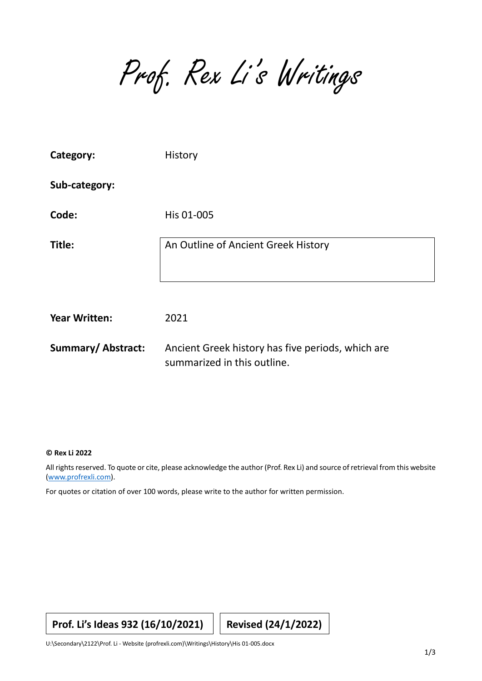Prof. Rex Li's Writings

| Category:                | History                                                                          |  |
|--------------------------|----------------------------------------------------------------------------------|--|
| Sub-category:            |                                                                                  |  |
| Code:                    | His 01-005                                                                       |  |
| Title:                   | An Outline of Ancient Greek History                                              |  |
| <b>Year Written:</b>     | 2021                                                                             |  |
| <b>Summary/Abstract:</b> | Ancient Greek history has five periods, which are<br>summarized in this outline. |  |

## **© Rex Li 2022**

All rights reserved. To quote or cite, please acknowledge the author (Prof. Rex Li) and source of retrieval from this website [\(www.profrexli.com\)](http://www.profrexli.com/).

For quotes or citation of over 100 words, please write to the author for written permission.

## **Prof. Li's Ideas 932 (16/10/2021) Revised (24/1/2022)**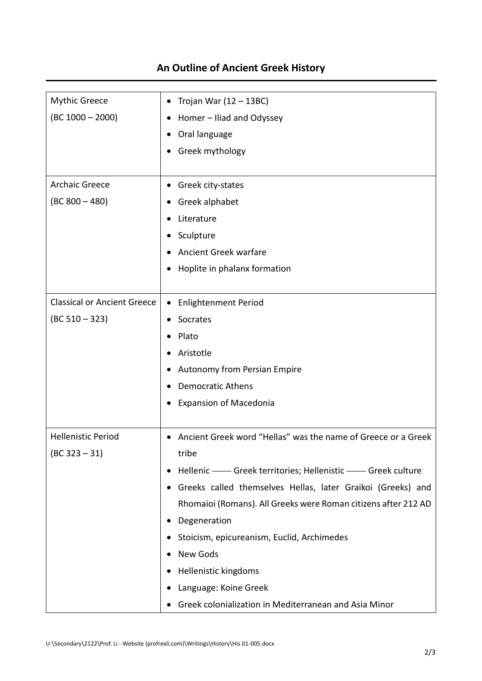| <b>Mythic Greece</b>               | Trojan War $(12 – 13BC)$<br>٠                                  |  |  |
|------------------------------------|----------------------------------------------------------------|--|--|
| $(BC 1000 - 2000)$                 | Homer - Iliad and Odyssey                                      |  |  |
|                                    | Oral language<br>٠                                             |  |  |
|                                    | Greek mythology                                                |  |  |
|                                    |                                                                |  |  |
| <b>Archaic Greece</b>              | Greek city-states<br>٠                                         |  |  |
| $(BC 800 - 480)$                   | Greek alphabet                                                 |  |  |
|                                    | Literature                                                     |  |  |
|                                    | Sculpture<br>٠                                                 |  |  |
|                                    | Ancient Greek warfare                                          |  |  |
|                                    | Hoplite in phalanx formation                                   |  |  |
|                                    |                                                                |  |  |
| <b>Classical or Ancient Greece</b> | <b>Enlightenment Period</b>                                    |  |  |
| $(BC 510 - 323)$                   | Socrates                                                       |  |  |
|                                    | Plato                                                          |  |  |
|                                    | Aristotle                                                      |  |  |
|                                    | Autonomy from Persian Empire<br>٠                              |  |  |
|                                    | <b>Democratic Athens</b>                                       |  |  |
|                                    | <b>Expansion of Macedonia</b>                                  |  |  |
|                                    |                                                                |  |  |
| <b>Hellenistic Period</b>          | Ancient Greek word "Hellas" was the name of Greece or a Greek  |  |  |
| $(BC 323 - 31)$                    | tribe                                                          |  |  |
|                                    | Hellenic - Greek territories; Hellenistic - Greek culture<br>٠ |  |  |
|                                    | Greeks called themselves Hellas, later Graikoi (Greeks) and    |  |  |
|                                    | Rhomaioi (Romans). All Greeks were Roman citizens after 212 AD |  |  |
|                                    | Degeneration                                                   |  |  |
|                                    | Stoicism, epicureanism, Euclid, Archimedes                     |  |  |
|                                    | New Gods                                                       |  |  |
|                                    | Hellenistic kingdoms<br>٠                                      |  |  |
|                                    | Language: Koine Greek                                          |  |  |
|                                    | Greek colonialization in Mediterranean and Asia Minor          |  |  |

## **An Outline of Ancient Greek History**